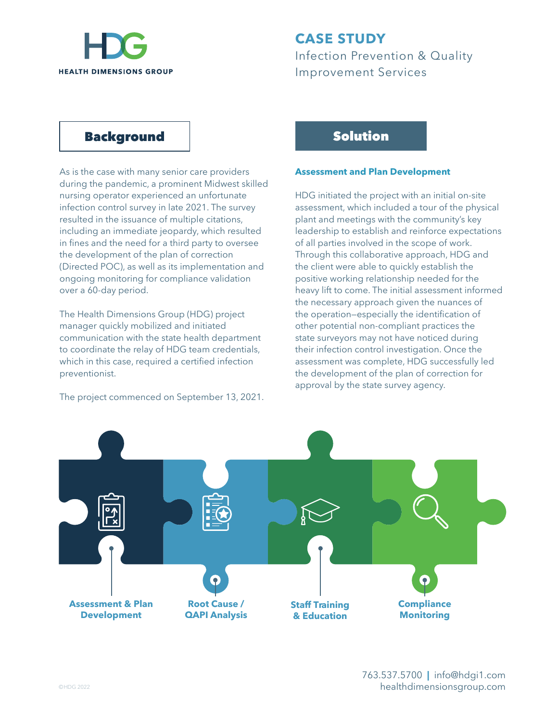

# **CASE STUDY** Infection Prevention & Quality Improvement Services

### Background

As is the case with many senior care providers during the pandemic, a prominent Midwest skilled nursing operator experienced an unfortunate infection control survey in late 2021. The survey resulted in the issuance of multiple citations, including an immediate jeopardy, which resulted in fines and the need for a third party to oversee the development of the plan of correction (Directed POC), as well as its implementation and ongoing monitoring for compliance validation over a 60-day period.

The Health Dimensions Group (HDG) project manager quickly mobilized and initiated communication with the state health department to coordinate the relay of HDG team credentials, which in this case, required a certified infection preventionist.

The project commenced on September 13, 2021.

## Solution

#### **Assessment and Plan Development**

HDG initiated the project with an initial on-site assessment, which included a tour of the physical plant and meetings with the community's key leadership to establish and reinforce expectations of all parties involved in the scope of work. Through this collaborative approach, HDG and the client were able to quickly establish the positive working relationship needed for the heavy lift to come. The initial assessment informed the necessary approach given the nuances of the operation—especially the identification of other potential non-compliant practices the state surveyors may not have noticed during their infection control investigation. Once the assessment was complete, HDG successfully led the development of the plan of correction for approval by the state survey agency.